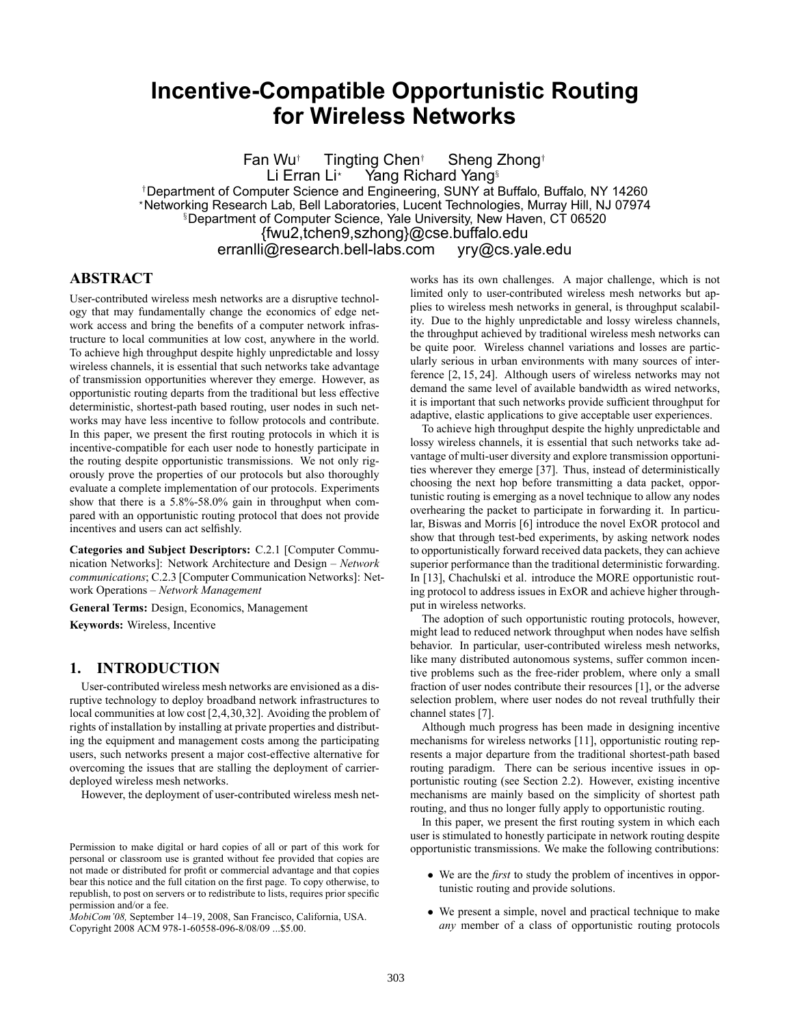# **Incentive-Compatible Opportunistic Routing for Wireless Networks**

Fan Wu† Tingting Chen† Sheng Zhong† Li Erran Li<sup>\*</sup> Yang Richard Yang<sup>§</sup> †Department of Computer Science and Engineering, SUNY at Buffalo, Buffalo, NY 14260 -Networking Research Lab, Bell Laboratories, Lucent Technologies, Murray Hill, NJ 07974 §Department of Computer Science, Yale University, New Haven, CT 06520 {fwu2,tchen9,szhong}@cse.buffalo.edu erranlli@research.bell-labs.com yry@cs.yale.edu

# **ABSTRACT**

User-contributed wireless mesh networks are a disruptive technology that may fundamentally change the economics of edge network access and bring the benefits of a computer network infrastructure to local communities at low cost, anywhere in the world. To achieve high throughput despite highly unpredictable and lossy wireless channels, it is essential that such networks take advantage of transmission opportunities wherever they emerge. However, as opportunistic routing departs from the traditional but less effective deterministic, shortest-path based routing, user nodes in such networks may have less incentive to follow protocols and contribute. In this paper, we present the first routing protocols in which it is incentive-compatible for each user node to honestly participate in the routing despite opportunistic transmissions. We not only rigorously prove the properties of our protocols but also thoroughly evaluate a complete implementation of our protocols. Experiments show that there is a 5.8%-58.0% gain in throughput when compared with an opportunistic routing protocol that does not provide incentives and users can act selfishly.

**Categories and Subject Descriptors:** C.2.1 [Computer Communication Networks]: Network Architecture and Design – *Network communications*; C.2.3 [Computer Communication Networks]: Network Operations – *Network Management*

**General Terms:** Design, Economics, Management **Keywords:** Wireless, Incentive

# **1. INTRODUCTION**

User-contributed wireless mesh networks are envisioned as a disruptive technology to deploy broadband network infrastructures to local communities at low cost [2,4,30,32]. Avoiding the problem of rights of installation by installing at private properties and distributing the equipment and management costs among the participating users, such networks present a major cost-effective alternative for overcoming the issues that are stalling the deployment of carrierdeployed wireless mesh networks.

However, the deployment of user-contributed wireless mesh net-

*MobiCom'08,* September 14–19, 2008, San Francisco, California, USA. Copyright 2008 ACM 978-1-60558-096-8/08/09 ...\$5.00.

works has its own challenges. A major challenge, which is not limited only to user-contributed wireless mesh networks but applies to wireless mesh networks in general, is throughput scalability. Due to the highly unpredictable and lossy wireless channels, the throughput achieved by traditional wireless mesh networks can be quite poor. Wireless channel variations and losses are particularly serious in urban environments with many sources of interference [2, 15, 24]. Although users of wireless networks may not demand the same level of available bandwidth as wired networks, it is important that such networks provide sufficient throughput for adaptive, elastic applications to give acceptable user experiences.

To achieve high throughput despite the highly unpredictable and lossy wireless channels, it is essential that such networks take advantage of multi-user diversity and explore transmission opportunities wherever they emerge [37]. Thus, instead of deterministically choosing the next hop before transmitting a data packet, opportunistic routing is emerging as a novel technique to allow any nodes overhearing the packet to participate in forwarding it. In particular, Biswas and Morris [6] introduce the novel ExOR protocol and show that through test-bed experiments, by asking network nodes to opportunistically forward received data packets, they can achieve superior performance than the traditional deterministic forwarding. In [13], Chachulski et al. introduce the MORE opportunistic routing protocol to address issues in ExOR and achieve higher throughput in wireless networks.

The adoption of such opportunistic routing protocols, however, might lead to reduced network throughput when nodes have selfish behavior. In particular, user-contributed wireless mesh networks, like many distributed autonomous systems, suffer common incentive problems such as the free-rider problem, where only a small fraction of user nodes contribute their resources [1], or the adverse selection problem, where user nodes do not reveal truthfully their channel states [7].

Although much progress has been made in designing incentive mechanisms for wireless networks [11], opportunistic routing represents a major departure from the traditional shortest-path based routing paradigm. There can be serious incentive issues in opportunistic routing (see Section 2.2). However, existing incentive mechanisms are mainly based on the simplicity of shortest path routing, and thus no longer fully apply to opportunistic routing.

In this paper, we present the first routing system in which each user is stimulated to honestly participate in network routing despite opportunistic transmissions. We make the following contributions:

- We are the *first* to study the problem of incentives in opportunistic routing and provide solutions.
- We present a simple, novel and practical technique to make *any* member of a class of opportunistic routing protocols

Permission to make digital or hard copies of all or part of this work for personal or classroom use is granted without fee provided that copies are not made or distributed for profit or commercial advantage and that copies bear this notice and the full citation on the first page. To copy otherwise, to republish, to post on servers or to redistribute to lists, requires prior specific permission and/or a fee.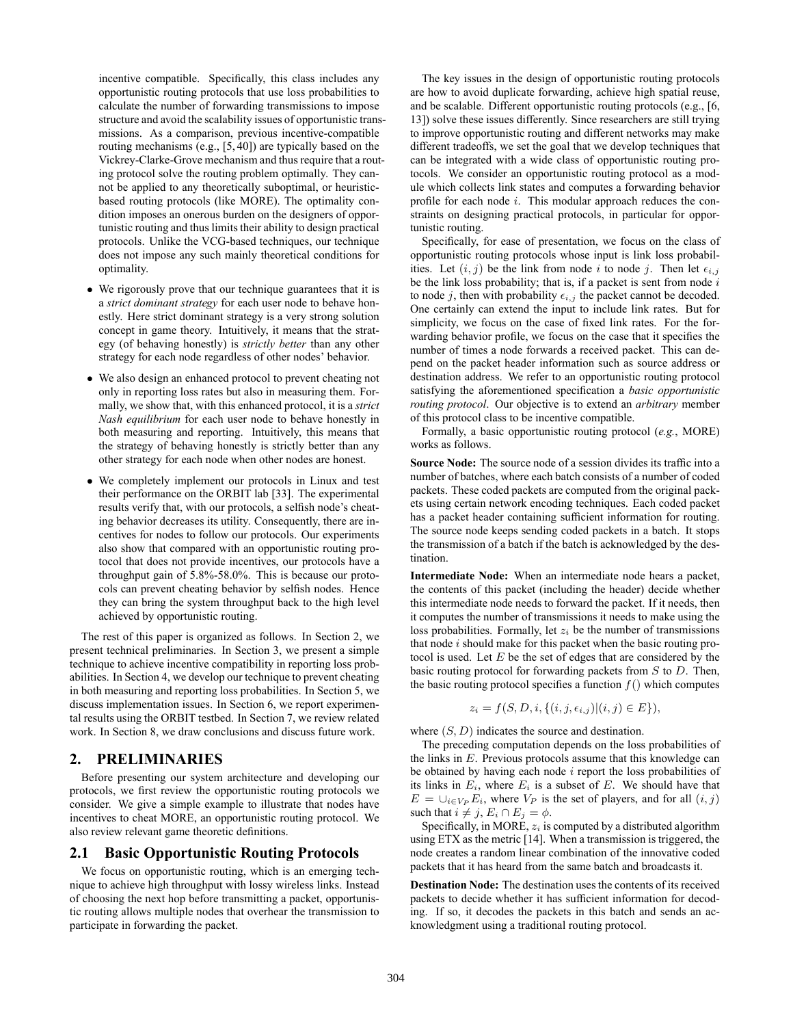incentive compatible. Specifically, this class includes any opportunistic routing protocols that use loss probabilities to calculate the number of forwarding transmissions to impose structure and avoid the scalability issues of opportunistic transmissions. As a comparison, previous incentive-compatible routing mechanisms (e.g., [5, 40]) are typically based on the Vickrey-Clarke-Grove mechanism and thus require that a routing protocol solve the routing problem optimally. They cannot be applied to any theoretically suboptimal, or heuristicbased routing protocols (like MORE). The optimality condition imposes an onerous burden on the designers of opportunistic routing and thus limits their ability to design practical protocols. Unlike the VCG-based techniques, our technique does not impose any such mainly theoretical conditions for optimality.

- We rigorously prove that our technique guarantees that it is a *strict dominant strategy* for each user node to behave honestly. Here strict dominant strategy is a very strong solution concept in game theory. Intuitively, it means that the strategy (of behaving honestly) is *strictly better* than any other strategy for each node regardless of other nodes' behavior.
- We also design an enhanced protocol to prevent cheating not only in reporting loss rates but also in measuring them. Formally, we show that, with this enhanced protocol, it is a *strict Nash equilibrium* for each user node to behave honestly in both measuring and reporting. Intuitively, this means that the strategy of behaving honestly is strictly better than any other strategy for each node when other nodes are honest.
- We completely implement our protocols in Linux and test their performance on the ORBIT lab [33]. The experimental results verify that, with our protocols, a selfish node's cheating behavior decreases its utility. Consequently, there are incentives for nodes to follow our protocols. Our experiments also show that compared with an opportunistic routing protocol that does not provide incentives, our protocols have a throughput gain of 5.8%-58.0%. This is because our protocols can prevent cheating behavior by selfish nodes. Hence they can bring the system throughput back to the high level achieved by opportunistic routing.

The rest of this paper is organized as follows. In Section 2, we present technical preliminaries. In Section 3, we present a simple technique to achieve incentive compatibility in reporting loss probabilities. In Section 4, we develop our technique to prevent cheating in both measuring and reporting loss probabilities. In Section 5, we discuss implementation issues. In Section 6, we report experimental results using the ORBIT testbed. In Section 7, we review related work. In Section 8, we draw conclusions and discuss future work.

#### **2. PRELIMINARIES**

Before presenting our system architecture and developing our protocols, we first review the opportunistic routing protocols we consider. We give a simple example to illustrate that nodes have incentives to cheat MORE, an opportunistic routing protocol. We also review relevant game theoretic definitions.

#### **2.1 Basic Opportunistic Routing Protocols**

We focus on opportunistic routing, which is an emerging technique to achieve high throughput with lossy wireless links. Instead of choosing the next hop before transmitting a packet, opportunistic routing allows multiple nodes that overhear the transmission to participate in forwarding the packet.

The key issues in the design of opportunistic routing protocols are how to avoid duplicate forwarding, achieve high spatial reuse, and be scalable. Different opportunistic routing protocols (e.g., [6, 13]) solve these issues differently. Since researchers are still trying to improve opportunistic routing and different networks may make different tradeoffs, we set the goal that we develop techniques that can be integrated with a wide class of opportunistic routing protocols. We consider an opportunistic routing protocol as a module which collects link states and computes a forwarding behavior profile for each node i. This modular approach reduces the constraints on designing practical protocols, in particular for opportunistic routing.

Specifically, for ease of presentation, we focus on the class of opportunistic routing protocols whose input is link loss probabilities. Let  $(i, j)$  be the link from node i to node j. Then let  $\epsilon_{i,j}$  be the link loss probability; that is if a packet is sent from node i be the link loss probability; that is, if a packet is sent from node  $i$ to node j, then with probability  $\epsilon_{i,j}$  the packet cannot be decoded. One certainly can extend the input to include link rates. But for simplicity, we focus on the case of fixed link rates. For the forwarding behavior profile, we focus on the case that it specifies the number of times a node forwards a received packet. This can depend on the packet header information such as source address or destination address. We refer to an opportunistic routing protocol satisfying the aforementioned specification a *basic opportunistic routing protocol*. Our objective is to extend an *arbitrary* member of this protocol class to be incentive compatible.

Formally, a basic opportunistic routing protocol (*e.g.*, MORE) works as follows.

**Source Node:** The source node of a session divides its traffic into a number of batches, where each batch consists of a number of coded packets. These coded packets are computed from the original packets using certain network encoding techniques. Each coded packet has a packet header containing sufficient information for routing. The source node keeps sending coded packets in a batch. It stops the transmission of a batch if the batch is acknowledged by the destination.

**Intermediate Node:** When an intermediate node hears a packet, the contents of this packet (including the header) decide whether this intermediate node needs to forward the packet. If it needs, then it computes the number of transmissions it needs to make using the loss probabilities. Formally, let  $z_i$  be the number of transmissions that node  $i$  should make for this packet when the basic routing protocol is used. Let  $E$  be the set of edges that are considered by the basic routing protocol for forwarding packets from  $S$  to  $D$ . Then, the basic routing protocol specifies a function  $f()$  which computes

$$
z_i = f(S, D, i, \{(i, j, \epsilon_{i,j}) | (i, j) \in E\}),
$$

where  $(S, D)$  indicates the source and destination.

The preceding computation depends on the loss probabilities of the links in  $E$ . Previous protocols assume that this knowledge can be obtained by having each node  $i$  report the loss probabilities of its links in  $E_i$ , where  $E_i$  is a subset of E. We should have that  $E = \bigcup_{i \in V_P} E_i$ , where  $V_P$  is the set of players, and for all  $(i, j)$ such that  $i \neq j$ ,  $E_i \cap E_j = \phi$ .

Specifically, in MORE,  $z_i$  is computed by a distributed algorithm using ETX as the metric [14]. When a transmission is triggered, the node creates a random linear combination of the innovative coded packets that it has heard from the same batch and broadcasts it.

**Destination Node:** The destination uses the contents of its received packets to decide whether it has sufficient information for decoding. If so, it decodes the packets in this batch and sends an acknowledgment using a traditional routing protocol.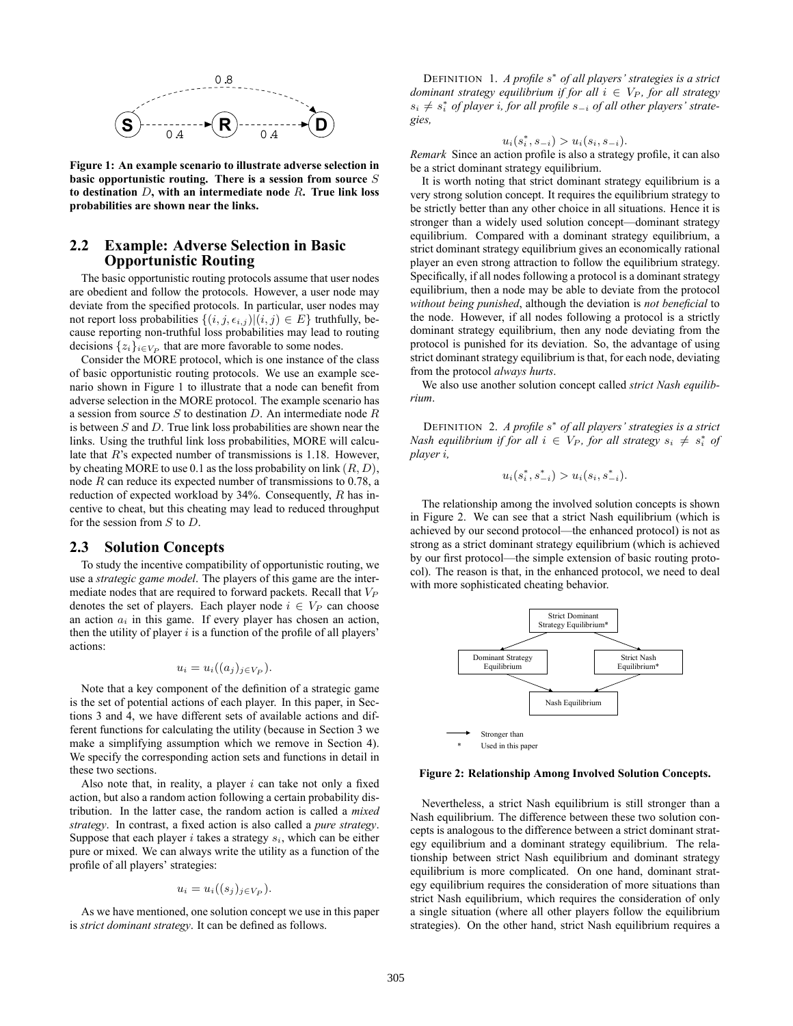

**Figure 1: An example scenario to illustrate adverse selection in basic opportunistic routing. There is a session from source** S **to destination** D**, with an intermediate node** R**. True link loss probabilities are shown near the links.**

## **2.2 Example: Adverse Selection in Basic Opportunistic Routing**

The basic opportunistic routing protocols assume that user nodes are obedient and follow the protocols. However, a user node may deviate from the specified protocols. In particular, user nodes may not report loss probabilities  $\{(i, j, \epsilon_{i,j}) | (i, j) \in E\}$  truthfully, be-<br>cause reporting non-truthful loss probabilities may lead to routing cause reporting non-truthful loss probabilities may lead to routing decisions  $\{z_i\}_{i\in V_P}$  that are more favorable to some nodes.

Consider the MORE protocol, which is one instance of the class of basic opportunistic routing protocols. We use an example scenario shown in Figure 1 to illustrate that a node can benefit from adverse selection in the MORE protocol. The example scenario has a session from source  $S$  to destination  $D$ . An intermediate node  $R$ is between  $S$  and  $D$ . True link loss probabilities are shown near the links. Using the truthful link loss probabilities, MORE will calculate that R's expected number of transmissions is 1.18. However, by cheating MORE to use 0.1 as the loss probability on link  $(R, D)$ , node R can reduce its expected number of transmissions to 0.78, a reduction of expected workload by 34%. Consequently, R has incentive to cheat, but this cheating may lead to reduced throughput for the session from  $S$  to  $D$ .

#### **2.3 Solution Concepts**

To study the incentive compatibility of opportunistic routing, we use a *strategic game model*. The players of this game are the intermediate nodes that are required to forward packets. Recall that  $V_P$ denotes the set of players. Each player node  $i \in V_P$  can choose an action  $a_i$  in this game. If every player has chosen an action, then the utility of player  $i$  is a function of the profile of all players' actions:

$$
u_i = u_i((a_j)_{j \in V_P}).
$$

Note that a key component of the definition of a strategic game is the set of potential actions of each player. In this paper, in Sections 3 and 4, we have different sets of available actions and different functions for calculating the utility (because in Section 3 we make a simplifying assumption which we remove in Section 4). We specify the corresponding action sets and functions in detail in these two sections.

Also note that, in reality, a player  $i$  can take not only a fixed action, but also a random action following a certain probability distribution. In the latter case, the random action is called a *mixed strategy*. In contrast, a fixed action is also called a *pure strategy*. Suppose that each player i takes a strategy  $s_i$ , which can be either pure or mixed. We can always write the utility as a function of the profile of all players' strategies:

$$
u_i = u_i((s_j)_{j \in V_P}).
$$

As we have mentioned, one solution concept we use in this paper is *strict dominant strategy*. It can be defined as follows.

DEFINITION 1. *A profile* s<sup>∗</sup> *of all players' strategies is a strict dominant strategy equilibrium if for all*  $i \in V_P$ *, for all strategy s<sub>i</sub>*  $\neq$  *s<sup>\*</sup>*</sup> *of player i, for all profile s*<sub>−*i*</sub> *of all other players' strategies,*

$$
u_i(s_i^*, s_{-i}) > u_i(s_i, s_{-i}).
$$

 $u_i(s_i^*, s_{-i}) > u_i(s_i, s_{-i}).$ *Remark* Since an action profile is also a strategy profile, it can also be a strict dominant strategy equilibrium.

It is worth noting that strict dominant strategy equilibrium is a very strong solution concept. It requires the equilibrium strategy to be strictly better than any other choice in all situations. Hence it is stronger than a widely used solution concept—dominant strategy equilibrium. Compared with a dominant strategy equilibrium, a strict dominant strategy equilibrium gives an economically rational player an even strong attraction to follow the equilibrium strategy. Specifically, if all nodes following a protocol is a dominant strategy equilibrium, then a node may be able to deviate from the protocol *without being punished*, although the deviation is *not beneficial* to the node. However, if all nodes following a protocol is a strictly dominant strategy equilibrium, then any node deviating from the protocol is punished for its deviation. So, the advantage of using strict dominant strategy equilibrium is that, for each node, deviating from the protocol *always hurts*.

We also use another solution concept called *strict Nash equilibrium*.

DEFINITION 2. *A profile* s<sup>∗</sup> *of all players' strategies is a strict Nash equilibrium if for all*  $i \in V_P$ *, for all strategy*  $s_i \neq s_i^*$  *of player i player* i*,*

$$
u_i(s_i^*, s_{-i}^*) > u_i(s_i, s_{-i}^*).
$$

The relationship among the involved solution concepts is shown in Figure 2. We can see that a strict Nash equilibrium (which is achieved by our second protocol—the enhanced protocol) is not as strong as a strict dominant strategy equilibrium (which is achieved by our first protocol—the simple extension of basic routing protocol). The reason is that, in the enhanced protocol, we need to deal with more sophisticated cheating behavior.



**Figure 2: Relationship Among Involved Solution Concepts.**

Nevertheless, a strict Nash equilibrium is still stronger than a Nash equilibrium. The difference between these two solution concepts is analogous to the difference between a strict dominant strategy equilibrium and a dominant strategy equilibrium. The relationship between strict Nash equilibrium and dominant strategy equilibrium is more complicated. On one hand, dominant strategy equilibrium requires the consideration of more situations than strict Nash equilibrium, which requires the consideration of only a single situation (where all other players follow the equilibrium strategies). On the other hand, strict Nash equilibrium requires a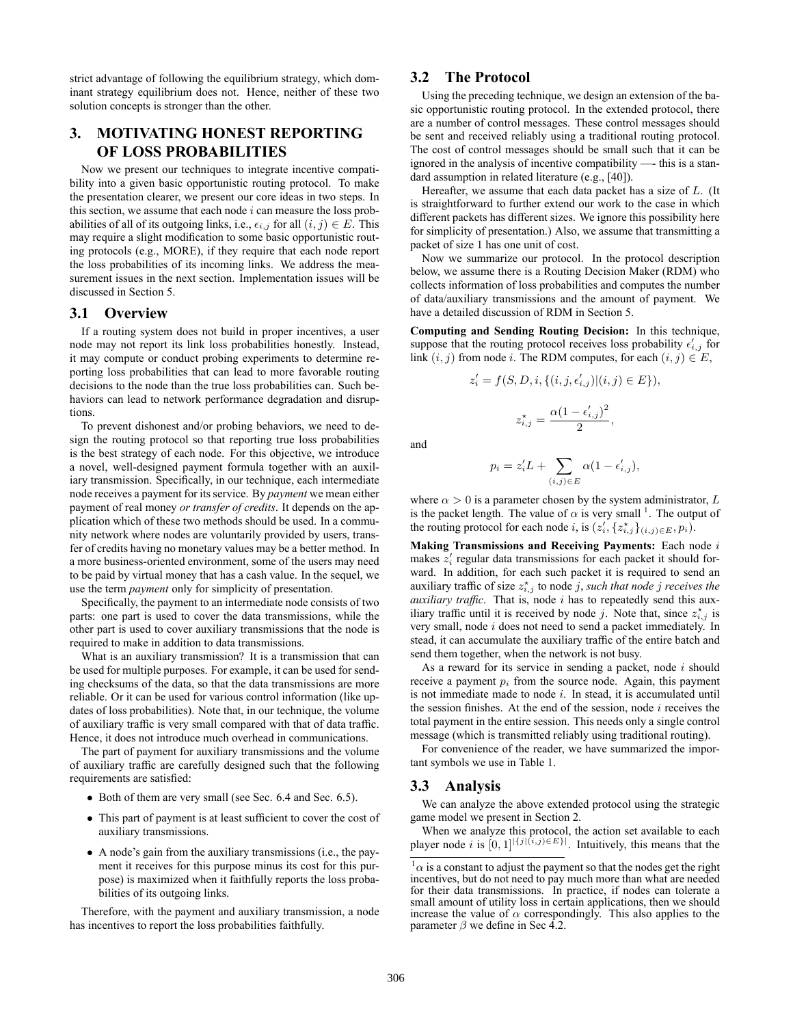strict advantage of following the equilibrium strategy, which dominant strategy equilibrium does not. Hence, neither of these two solution concepts is stronger than the other.

# **3. MOTIVATING HONEST REPORTING OF LOSS PROBABILITIES**

Now we present our techniques to integrate incentive compatibility into a given basic opportunistic routing protocol. To make the presentation clearer, we present our core ideas in two steps. In this section, we assume that each node  $i$  can measure the loss probabilities of all of its outgoing links, i.e.,  $\epsilon_{i,j}$  for all  $(i, j) \in E$ . This may require a slight modification to some basic opportunistic routmay require a slight modification to some basic opportunistic routing protocols (e.g., MORE), if they require that each node report the loss probabilities of its incoming links. We address the measurement issues in the next section. Implementation issues will be discussed in Section 5.

#### **3.1 Overview**

If a routing system does not build in proper incentives, a user node may not report its link loss probabilities honestly. Instead, it may compute or conduct probing experiments to determine reporting loss probabilities that can lead to more favorable routing decisions to the node than the true loss probabilities can. Such behaviors can lead to network performance degradation and disruptions.

To prevent dishonest and/or probing behaviors, we need to design the routing protocol so that reporting true loss probabilities is the best strategy of each node. For this objective, we introduce a novel, well-designed payment formula together with an auxiliary transmission. Specifically, in our technique, each intermediate node receives a payment for its service. By *payment* we mean either payment of real money *or transfer of credits*. It depends on the application which of these two methods should be used. In a community network where nodes are voluntarily provided by users, transfer of credits having no monetary values may be a better method. In a more business-oriented environment, some of the users may need to be paid by virtual money that has a cash value. In the sequel, we use the term *payment* only for simplicity of presentation.

Specifically, the payment to an intermediate node consists of two parts: one part is used to cover the data transmissions, while the other part is used to cover auxiliary transmissions that the node is required to make in addition to data transmissions.

What is an auxiliary transmission? It is a transmission that can be used for multiple purposes. For example, it can be used for sending checksums of the data, so that the data transmissions are more reliable. Or it can be used for various control information (like updates of loss probabilities). Note that, in our technique, the volume of auxiliary traffic is very small compared with that of data traffic. Hence, it does not introduce much overhead in communications.

The part of payment for auxiliary transmissions and the volume of auxiliary traffic are carefully designed such that the following requirements are satisfied:

- Both of them are very small (see Sec. 6.4 and Sec. 6.5).
- This part of payment is at least sufficient to cover the cost of auxiliary transmissions.
- A node's gain from the auxiliary transmissions (i.e., the payment it receives for this purpose minus its cost for this purpose) is maximized when it faithfully reports the loss probabilities of its outgoing links.

Therefore, with the payment and auxiliary transmission, a node has incentives to report the loss probabilities faithfully.

# **3.2 The Protocol**

Using the preceding technique, we design an extension of the basic opportunistic routing protocol. In the extended protocol, there are a number of control messages. These control messages should be sent and received reliably using a traditional routing protocol. The cost of control messages should be small such that it can be ignored in the analysis of incentive compatibility —- this is a standard assumption in related literature (e.g., [40]).

Hereafter, we assume that each data packet has a size of L. (It is straightforward to further extend our work to the case in which different packets has different sizes. We ignore this possibility here for simplicity of presentation.) Also, we assume that transmitting a packet of size 1 has one unit of cost.

Now we summarize our protocol. In the protocol description below, we assume there is a Routing Decision Maker (RDM) who collects information of loss probabilities and computes the number of data/auxiliary transmissions and the amount of payment. We have a detailed discussion of RDM in Section 5.

**Computing and Sending Routing Decision:** In this technique, suppose that the routing protocol receives loss probability  $\epsilon'_{i,j}$  for link  $(i, j)$  from node i. The RDM computes, for each  $(i, j) \in E$ ,

$$
z'_{i} = f(S, D, i, \{(i, j, \epsilon'_{i,j}) | (i, j) \in E\}),
$$

 $z_i^{\star}$ 

and

$$
p_i = z_i'L + \sum_{(i,j)\in E} \alpha (1 - \epsilon_{i,j}'),
$$

 $\zeta_{i,j} = \frac{\alpha (1 - \epsilon'_{i,j})^2}{2},$ 

where  $\alpha > 0$  is a parameter chosen by the system administrator, L is the packet length. The value of  $\alpha$  is very small <sup>1</sup>. The output of the routing protocol for each node *i*, is  $(z'_i, \{z_{i,j}^*\}_{(i,j)\in E}, p_i)$ .

**Making Transmissions and Receiving Payments:** Each node i makes  $z_i$  regular data transmissions for each packet it should forward. In addition, for each such packet it is required to send an auxiliary traffic of size  $z_{i,j}^*$  to node j, *such that node* j *receives the auxiliary traffic*. That is, node i has to repeatedly send this auxiliary traffic until it is received by node j. Note that, since  $z_{i,j}^{\star}$  is very small, node i does not need to send a packet immediately. In stead, it can accumulate the auxiliary traffic of the entire batch and send them together, when the network is not busy.

As a reward for its service in sending a packet, node  $i$  should receive a payment  $p_i$  from the source node. Again, this payment is not immediate made to node  $i$ . In stead, it is accumulated until the session finishes. At the end of the session, node  $i$  receives the total payment in the entire session. This needs only a single control message (which is transmitted reliably using traditional routing).

For convenience of the reader, we have summarized the important symbols we use in Table 1.

#### **3.3 Analysis**

We can analyze the above extended protocol using the strategic game model we present in Section 2.

When we analyze this protocol, the action set available to each player node i is  $[0, 1]^{|\{j| (i,j) \in E\}|}$ . Intuitively, this means that the

 $\alpha$  is a constant to adjust the payment so that the nodes get the right incentives, but do not need to pay much more than what are needed for their data transmissions. In practice, if nodes can tolerate a small amount of utility loss in certain applications, then we should increase the value of  $\alpha$  correspondingly. This also applies to the parameter  $\beta$  we define in Sec 4.2.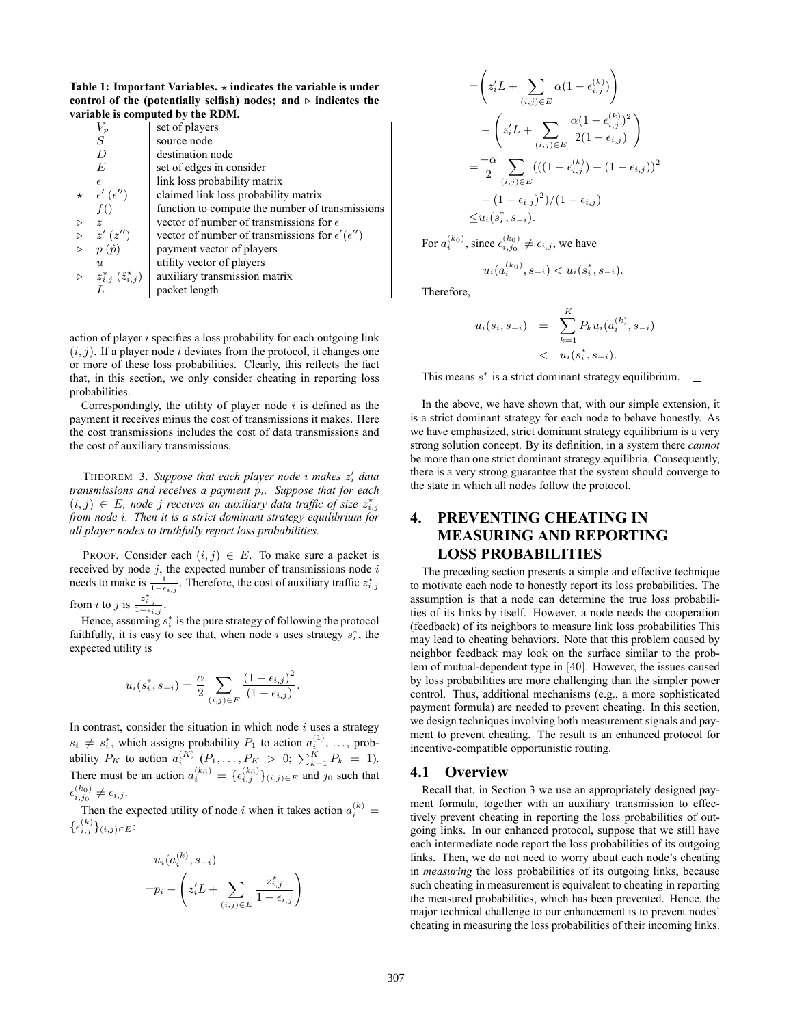**Table 1: Important Variables. indicates the variable is under** control of the (potentially selfish) nodes; and  $\triangleright$  indicates the **variable is computed by the RDM.**

|                  | $V_p$                                    | set of players                                                |
|------------------|------------------------------------------|---------------------------------------------------------------|
|                  | $\cal S$                                 | source node                                                   |
|                  | D                                        | destination node                                              |
|                  | E                                        | set of edges in consider                                      |
|                  | $\epsilon$                               | link loss probability matrix                                  |
| $^{\star}$       | $\epsilon'$ ( $\epsilon''$ )             | claimed link loss probability matrix                          |
|                  |                                          | function to compute the number of transmissions               |
|                  | $\tilde{z}$                              | vector of number of transmissions for $\epsilon$              |
| $\triangleright$ | z'(z'')                                  | vector of number of transmissions for $\epsilon'(\epsilon'')$ |
|                  | $p(\hat{p})$                             | payment vector of players                                     |
|                  | $\boldsymbol{u}$                         | utility vector of players                                     |
|                  | $z_{i,j}^{\star}(\hat{z}_{i,j}^{\star})$ | auxiliary transmission matrix                                 |
|                  |                                          | packet length                                                 |

action of player i specifies a loss probability for each outgoing link  $(i, j)$ . If a player node i deviates from the protocol, it changes one or more of these loss probabilities. Clearly, this reflects the fact that, in this section, we only consider cheating in reporting loss probabilities.

Correspondingly, the utility of player node  $i$  is defined as the payment it receives minus the cost of transmissions it makes. Here the cost transmissions includes the cost of data transmissions and the cost of auxiliary transmissions.

THEOREM 3. *Suppose that each player node* i *makes* z <sup>i</sup> *data transmissions and receives a payment*  $p_i$ *. Suppose that for each*  $(i, j)$  ∈ E, node *j* receives an auxiliary data traffic of size  $z_{i,j}^*$ <br>from node *i*. Then it is a strict dominant strategy equilibrium for *from node* i*. Then it is a strict dominant strategy equilibrium for all player nodes to truthfully report loss probabilities.*

PROOF. Consider each  $(i, j) \in E$ . To make sure a packet is received by node  $j$ , the expected number of transmissions node  $i$ needs to make is  $\frac{1}{1-\epsilon_{i,j}}$ . Therefore, the cost of auxiliary traffic  $z_{i,j}^*$ from *i* to *j* is  $\frac{z_{i,j}^*}{1-\epsilon_{i,j}}$ .

Hence, assuming  $s_i^*$  is the pure strategy of following the protocol faithfully, it is easy to see that, when node i uses strategy  $s_i^*$ , the expected utility is

$$
u_i(s_i^*, s_{-i}) = \frac{\alpha}{2} \sum_{(i,j) \in E} \frac{(1 - \epsilon_{i,j})^2}{(1 - \epsilon_{i,j})}.
$$

In contrast, consider the situation in which node  $i$  uses a strategy  $s_i \neq s_i^*$ , which assigns probability  $P_1$  to action  $a_i^{(1)}, \ldots$ , prob-<br>initial  $P_i$  to action  $\phi^{(K)}(P_i \cap P_i) \geq 0$ ,  $\sum_{i=1}^{K} P_i$ ability  $P_K$  to action  $a_i^{(K)}(P_1,\ldots,P_K > 0; \sum_{k=1}^K P_k = 1)$ .<br>There must be an action  $a_i^{(k_0)} = \{\epsilon_{i,j}^{(k_0)}\}_{(i,j)\in E}$  and  $j_0$  such that  $\epsilon_{i,j_0}^{(k_0)} \neq \epsilon_{i,j}.$ 

Then the expected utility of node i when it takes action  $a_i^{(k)} = (k)_1$  $\{\epsilon_{i,j}^{(k)}\}_{(i,j)\in E}$ :

$$
u_i(a_i^{(k)}, s_{-i})
$$
  
= $p_i - \left(z_i'L + \sum_{(i,j) \in E} \frac{z_{i,j}^*}{1 - \epsilon_{i,j}}\right)$ 

$$
= \left( z_i' L + \sum_{(i,j) \in E} \alpha (1 - \epsilon_{i,j}^{(k)}) \right)
$$
  

$$
- \left( z_i' L + \sum_{(i,j) \in E} \frac{\alpha (1 - \epsilon_{i,j}^{(k)})^2}{2(1 - \epsilon_{i,j})} \right)
$$
  

$$
= \frac{-\alpha}{2} \sum_{(i,j) \in E} (((1 - \epsilon_{i,j}^{(k)}) - (1 - \epsilon_{i,j}))^2
$$
  

$$
- (1 - \epsilon_{i,j})^2)/(1 - \epsilon_{i,j})
$$
  

$$
\leq u_i(s_i^*, s_{-i}).
$$

For  $a_i^{(k_0)}$ , since  $\epsilon_{i,j_0}^{(k_0)} \neq \epsilon_{i,j}$ , we have

$$
u_i(a_i^{(k_0)}, s_{-i}) < u_i(s_i^*, s_{-i}).
$$

Therefore,

$$
u_i(s_i, s_{-i}) = \sum_{k=1}^{K} P_k u_i(a_i^{(k)}, s_{-i})
$$
  
<  $u_i(s_i^*, s_{-i}).$ 

This means  $s^*$  is a strict dominant strategy equilibrium.  $\square$ 

In the above, we have shown that, with our simple extension, it is a strict dominant strategy for each node to behave honestly. As we have emphasized, strict dominant strategy equilibrium is a very strong solution concept. By its definition, in a system there *cannot* be more than one strict dominant strategy equilibria. Consequently, there is a very strong guarantee that the system should converge to the state in which all nodes follow the protocol.

# **4. PREVENTING CHEATING IN MEASURING AND REPORTING LOSS PROBABILITIES**

The preceding section presents a simple and effective technique to motivate each node to honestly report its loss probabilities. The assumption is that a node can determine the true loss probabilities of its links by itself. However, a node needs the cooperation (feedback) of its neighbors to measure link loss probabilities This may lead to cheating behaviors. Note that this problem caused by neighbor feedback may look on the surface similar to the problem of mutual-dependent type in [40]. However, the issues caused by loss probabilities are more challenging than the simpler power control. Thus, additional mechanisms (e.g., a more sophisticated payment formula) are needed to prevent cheating. In this section, we design techniques involving both measurement signals and payment to prevent cheating. The result is an enhanced protocol for incentive-compatible opportunistic routing.

#### **4.1 Overview**

Recall that, in Section 3 we use an appropriately designed payment formula, together with an auxiliary transmission to effectively prevent cheating in reporting the loss probabilities of outgoing links. In our enhanced protocol, suppose that we still have each intermediate node report the loss probabilities of its outgoing links. Then, we do not need to worry about each node's cheating in *measuring* the loss probabilities of its outgoing links, because such cheating in measurement is equivalent to cheating in reporting the measured probabilities, which has been prevented. Hence, the major technical challenge to our enhancement is to prevent nodes' cheating in measuring the loss probabilities of their incoming links.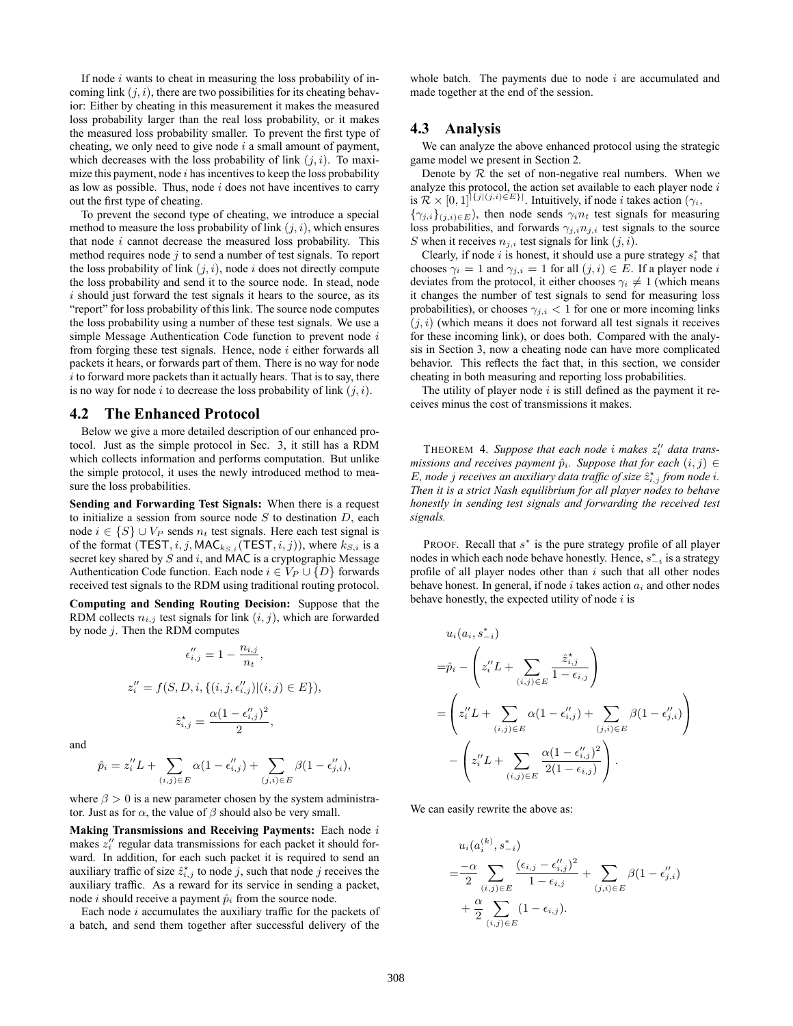If node  $i$  wants to cheat in measuring the loss probability of incoming link  $(j, i)$ , there are two possibilities for its cheating behavior: Either by cheating in this measurement it makes the measured loss probability larger than the real loss probability, or it makes the measured loss probability smaller. To prevent the first type of cheating, we only need to give node  $i$  a small amount of payment, which decreases with the loss probability of link  $(j, i)$ . To maximize this payment, node  $i$  has incentives to keep the loss probability as low as possible. Thus, node  $i$  does not have incentives to carry out the first type of cheating.

To prevent the second type of cheating, we introduce a special method to measure the loss probability of link  $(j, i)$ , which ensures that node  $i$  cannot decrease the measured loss probability. This method requires node  $j$  to send a number of test signals. To report the loss probability of link  $(j, i)$ , node i does not directly compute the loss probability and send it to the source node. In stead, node  $i$  should just forward the test signals it hears to the source, as its "report" for loss probability of this link. The source node computes the loss probability using a number of these test signals. We use a simple Message Authentication Code function to prevent node i from forging these test signals. Hence, node  $i$  either forwards all packets it hears, or forwards part of them. There is no way for node  $i$  to forward more packets than it actually hears. That is to say, there is no way for node i to decrease the loss probability of link  $(j, i)$ .

#### **4.2 The Enhanced Protocol**

Below we give a more detailed description of our enhanced protocol. Just as the simple protocol in Sec. 3, it still has a RDM which collects information and performs computation. But unlike the simple protocol, it uses the newly introduced method to measure the loss probabilities.

**Sending and Forwarding Test Signals:** When there is a request to initialize a session from source node  $S$  to destination  $D$ , each node  $i \in \{S\}$  ∪  $V_P$  sends  $n_t$  test signals. Here each test signal is of the format (TEST, i, j, MAC<sub>kS,i</sub> (TEST, i, j)), where  $k_{S,i}$  is a secret key shared by  $S$  and  $i$ , and MAC is a cryptographic Message Authentication Code function. Each node  $i \in V_P \cup \{D\}$  forwards received test signals to the RDM using traditional routing protocol.

**Computing and Sending Routing Decision:** Suppose that the RDM collects  $n_{i,j}$  test signals for link  $(i, j)$ , which are forwarded by node  $j$ . Then the RDM computes

$$
\epsilon''_{i,j} = 1 - \frac{n_{i,j}}{n_t},
$$
  

$$
z''_i = f(S, D, i, \{(i, j, \epsilon''_{i,j}) | (i, j) \in E\}),
$$
  

$$
\hat{z}^*_{i,j} = \frac{\alpha (1 - \epsilon''_{i,j})^2}{2},
$$

and

$$
\hat{p}_i = z_i'' L + \sum_{(i,j) \in E} \alpha (1 - \epsilon_{i,j}'') + \sum_{(j,i) \in E} \beta (1 - \epsilon_{j,i}''),
$$

where  $\beta > 0$  is a new parameter chosen by the system administrator. Just as for  $\alpha$ , the value of  $\beta$  should also be very small.

**Making Transmissions and Receiving Payments:** Each node i makes  $z_i'$  regular data transmissions for each packet it should forward. In addition, for each such packet it is required to send an auxiliary traffic of size  $\hat{z}_{i,j}^*$  to node j, such that node j receives the auxiliary traffic As a reward for its service in sending a packet auxiliary traffic. As a reward for its service in sending a packet, node *i* should receive a payment  $\hat{p}_i$  from the source node.

Each node  $i$  accumulates the auxiliary traffic for the packets of a batch, and send them together after successful delivery of the

whole batch. The payments due to node  $i$  are accumulated and made together at the end of the session.

### **4.3 Analysis**

We can analyze the above enhanced protocol using the strategic game model we present in Section 2.

Denote by  $R$  the set of non-negative real numbers. When we analyze this protocol, the action set available to each player node  $i$ is  $\mathcal{R} \times [0,1]^{|\{j|(j,i)\in E\}|}$ . Intuitively, if node *i* takes action  $(\gamma_i, \gamma_j)$ , then node sends  $\gamma_i$ , test signals for measure

 ${\gamma_{j,i}}_{(j,i)\in E}$ ), then node sends  ${\gamma_i n_t}$  test signals for measuring loss probabilities, and forwards  $\gamma_{j,i}n_{j,i}$  test signals to the source S when it receives  $n_{j,i}$  test signals for link  $(j, i)$ .

Clearly, if node i is honest, it should use a pure strategy  $s_i^*$  that chooses  $\gamma_i = 1$  and  $\gamma_{j,i} = 1$  for all  $(j,i) \in E$ . If a player node i deviates from the protocol, it either chooses  $\gamma_i \neq 1$  (which means it changes the number of test signals to send for measuring loss probabilities), or chooses  $\gamma_{j,i} < 1$  for one or more incoming links  $(j, i)$  (which means it does not forward all test signals it receives for these incoming link), or does both. Compared with the analysis in Section 3, now a cheating node can have more complicated behavior. This reflects the fact that, in this section, we consider cheating in both measuring and reporting loss probabilities.

The utility of player node  $i$  is still defined as the payment it receives minus the cost of transmissions it makes.

THEOREM 4. *Suppose that each node* i *makes* z <sup>i</sup> *data transmissions and receives payment*  $\hat{p}_i$ *. Suppose that for each*  $(i, j) \in$  $E$ , node *j* receives an auxiliary data traffic of size  $\hat{z}^*_{i,j}$  from node *i*.<br>Then it is a strict Nash equilibrium for all player nodes to behave *Then it is a strict Nash equilibrium for all player nodes to behave honestly in sending test signals and forwarding the received test signals.*

PROOF. Recall that  $s^*$  is the pure strategy profile of all player nodes in which each node behave honestly. Hence,  $s_{-i}^*$  is a strategy profile of all player nodes other than  $i$  such that all other nodes behave honest. In general, if node i takes action  $a_i$  and other nodes behave honestly, the expected utility of node  $i$  is

$$
u_i(a_i, s_{-i}^*)
$$
  
= $\hat{p}_i - \left( z_i'' L + \sum_{(i,j) \in E} \frac{\hat{z}_{i,j}^*}{1 - \epsilon_{i,j}} \right)$   
= $\left( z_i'' L + \sum_{(i,j) \in E} \alpha (1 - \epsilon_{i,j}'') + \sum_{(j,i) \in E} \beta (1 - \epsilon_{j,i}'') \right)$   
- $\left( z_i'' L + \sum_{(i,j) \in E} \frac{\alpha (1 - \epsilon_{i,j}'^*)^2}{2(1 - \epsilon_{i,j})} \right).$ 

We can easily rewrite the above as:

$$
u_i(a_i^{(k)}, s_{-i}^*)
$$
  
=
$$
\frac{-\alpha}{2} \sum_{(i,j)\in E} \frac{(\epsilon_{i,j} - \epsilon_{i,j}^{\prime\prime})^2}{1 - \epsilon_{i,j}} + \sum_{(j,i)\in E} \beta(1 - \epsilon_{j,i}^{\prime\prime})
$$
  
+
$$
\frac{\alpha}{2} \sum_{(i,j)\in E} (1 - \epsilon_{i,j}).
$$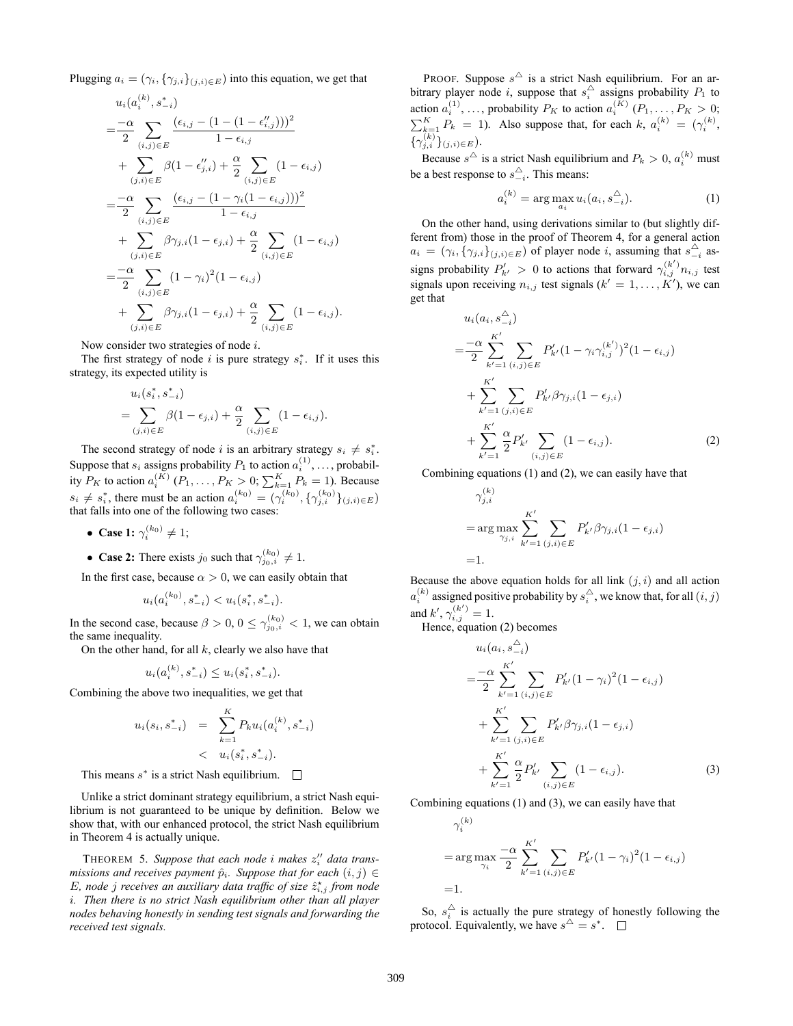Plugging  $a_i = (\gamma_i, {\gamma_{j,i}})_{(j,i) \in E}$ ) into this equation, we get that

$$
u_i(a_i^{(k)}, s_{-i}^*)
$$
\n
$$
= \frac{-\alpha}{2} \sum_{(i,j) \in E} \frac{(\epsilon_{i,j} - (1 - (1 - \epsilon_{i,j}^{"})))^2}{1 - \epsilon_{i,j}} + \sum_{(j,i) \in E} \beta(1 - \epsilon_{j,i}^{"}) + \frac{\alpha}{2} \sum_{(i,j) \in E} (1 - \epsilon_{i,j})
$$
\n
$$
= \frac{-\alpha}{2} \sum_{(i,j) \in E} \frac{(\epsilon_{i,j} - (1 - \gamma_i(1 - \epsilon_{i,j})))^2}{1 - \epsilon_{i,j}}
$$
\n
$$
+ \sum_{(j,i) \in E} \beta \gamma_{j,i} (1 - \epsilon_{j,i}) + \frac{\alpha}{2} \sum_{(i,j) \in E} (1 - \epsilon_{i,j})
$$
\n
$$
= \frac{-\alpha}{2} \sum_{(i,j) \in E} (1 - \gamma_i)^2 (1 - \epsilon_{i,j}) + \frac{\alpha}{2} \sum_{(i,j) \in E} (1 - \epsilon_{i,j}).
$$

Now consider two strategies of node i.

The first strategy of node i is pure strategy  $s_i^*$ . If it uses this strategy, its expected utility is

$$
u_i(s_i^*, s_{-i}^*)
$$
  
= 
$$
\sum_{(j,i)\in E} \beta(1 - \epsilon_{j,i}) + \frac{\alpha}{2} \sum_{(i,j)\in E} (1 - \epsilon_{i,j}).
$$

The second strategy of node *i* is an arbitrary strategy  $s_i \neq s_i^*$ .<br>Suppose that  $s_i$  assigns probability  $P_1$  to action  $a_i^{(1)}, \ldots$ , probabil-The second strategy of node i is an arbitrary strategy  $s_i \neq s_i^*$ . ity  $P_K$  to action  $a_i^{(K)}(P_1, \ldots, P_K > 0; \sum_{k=1}^K P_k = 1)$ . Because  $s_i \neq s_i^*$ , there must be an action  $a_i^{(k_0)} = (\gamma_i^{(k_0)}, \{\gamma_{j,i}^{(k_0)}\}_{(j,i)\in E})$ <br>that falls into one of the following two cases: that falls into one of the following two cases:

- **Case 1:**  $\gamma_i^{(k_0)} \neq 1;$
- **Case 2:** There exists  $j_0$  such that  $\gamma_{j_0,i}^{(k_0)} \neq 1$ .

In the first case, because  $\alpha > 0$ , we can easily obtain that

$$
u_i(a_i^{(k_0)}, s_{-i}^*) < u_i(s_i^*, s_{-i}^*).
$$

In the second case, because  $\beta > 0$ ,  $0 \le \gamma_{j_0,i}^{(k_0)} < 1$ , we can obtain the same inequality the same inequality.

On the other hand, for all  $k$ , clearly we also have that

$$
u_i(a_i^{(k)}, s_{-i}^*) \leq u_i(s_i^*, s_{-i}^*).
$$

Combining the above two inequalities, we get that

$$
u_i(s_i, s_{-i}^*) = \sum_{k=1}^K P_k u_i(a_i^{(k)}, s_{-i}^*)
$$
  
< 
$$
< u_i(s_i^*, s_{-i}^*).
$$

This means  $s^*$  is a strict Nash equilibrium.

Unlike a strict dominant strategy equilibrium, a strict Nash equilibrium is not guaranteed to be unique by definition. Below we show that, with our enhanced protocol, the strict Nash equilibrium in Theorem 4 is actually unique.

THEOREM 5. *Suppose that each node* i *makes* z <sup>i</sup> *data transmissions and receives payment*  $\hat{p}_i$ *. Suppose that for each*  $(i, j) \in$  $E$ , node *j* receives an auxiliary data traffic of size  $\hat{z}_{i,j}^*$  from node<br>*i*. Then there is no strict Nash equilibrium other than all player i*. Then there is no strict Nash equilibrium other than all player nodes behaving honestly in sending test signals and forwarding the received test signals.*

PROOF. Suppose  $s^{\triangle}$  is a strict Nash equilibrium. For an arbitrary player node *i*, suppose that  $s_i^{\triangle}$  assigns probability  $P_1$  to action  $a_i^{(1)}$ , ..., probability  $P_K$  to action  $a_i^{(K)}$   $(P_1, \ldots, P_K > 0$ ;<br>  $\sum_{k=1}^K P_k = 1$ ). Also suppose that, for each  $k$ ,  $a_i^{(k)} = (\gamma_i^{(k)}$ ,  $\{\gamma_{j,i}^{(k)}\}_{(j,i)\in E}$ ).

Because  $s^{\triangle}$  is a strict Nash equilibrium and  $P_k > 0$ ,  $a_i^{(k)}$  must<br>a heat represent  $a^{\triangle}$ . This means: be a best response to  $s_{-i}^{\triangle}$ . This means:

$$
a_i^{(k)} = \arg\max_{a_i} u_i(a_i, s_{-i}^{\triangle}).
$$
\n(1)

On the other hand, using derivations similar to (but slightly different from) those in the proof of Theorem 4, for a general action  $a_i = (\gamma_i, \{\gamma_{j,i}\}_{(j,i) \in E})$  of player node i, assuming that  $s_{-i}^{\triangle}$  assigns probability  $P'_{k'} > 0$  to actions that forward  $\gamma_{i,j}^{(k')} n_{i,j}$  test<br>signals upon requiring  $n_{k}$  test signals  $(h' - 1, h'')$  we can signals upon receiving  $n_{i,j}$  test signals  $(k' = 1, ..., K')$ , we can get that get that

$$
u_i(a_i, s_{-i}^{\Delta})
$$
  
=
$$
\frac{-\alpha}{2} \sum_{k'=1}^{K'} \sum_{(i,j) \in E} P'_{k'} (1 - \gamma_i \gamma_{i,j}^{(k')})^2 (1 - \epsilon_{i,j})
$$
  
+
$$
\sum_{k'=1}^{K'} \sum_{(j,i) \in E} P'_{k'} \beta \gamma_{j,i} (1 - \epsilon_{j,i})
$$
  
+
$$
\sum_{k'=1}^{K'} \frac{\alpha}{2} P'_{k'} \sum_{(i,j) \in E} (1 - \epsilon_{i,j}).
$$
 (2)

Combining equations (1) and (2), we can easily have that

$$
\gamma_{j,i}^{(k)}
$$
  
= arg max  $\sum_{\gamma_{j,i}}^{K'} \sum_{k'=1} P'_{k'} \beta \gamma_{j,i} (1 - \epsilon_{j,i})$   
=1.

Because the above equation holds for all link  $(j, i)$  and all action  $(k)$  actions of positive graduate  $k$  and local  $(i, i)$  $a_i^{(k)}$  assigned positive probability by  $s_i^{\triangle}$ , we know that, for all  $(i, j)$ and  $k', \gamma_{i,j}^{(k')} = 1$ .<br>Hence, equation (2) becomes

$$
u_i(a_i, s_{-i}^{\perp})
$$
  
=  $\frac{-\alpha}{2} \sum_{k'=1}^{K'} \sum_{(i,j) \in E} P'_{k'} (1 - \gamma_i)^2 (1 - \epsilon_{i,j})$   
+  $\sum_{k'=1}^{K'} \sum_{(j,i) \in E} P'_{k'} \beta \gamma_{j,i} (1 - \epsilon_{j,i})$   
+  $\sum_{k'=1}^{K'} \frac{\alpha}{2} P'_{k'} \sum_{(i,j) \in E} (1 - \epsilon_{i,j}).$  (3)

Combining equations (1) and (3), we can easily have that

$$
\gamma_i^{(k)}
$$
  
= arg max  $\frac{-\alpha}{\gamma_i} \sum_{k'=1}^{K'} \sum_{(i,j) \in E} P_{k'}'(1 - \gamma_i)^2 (1 - \epsilon_{i,j})$   
=1.

So,  $s_i^{\triangle}$  is actually the pure strategy of honestly following the protocol. Equivalently, we have  $s^{\triangle} = s^*$ .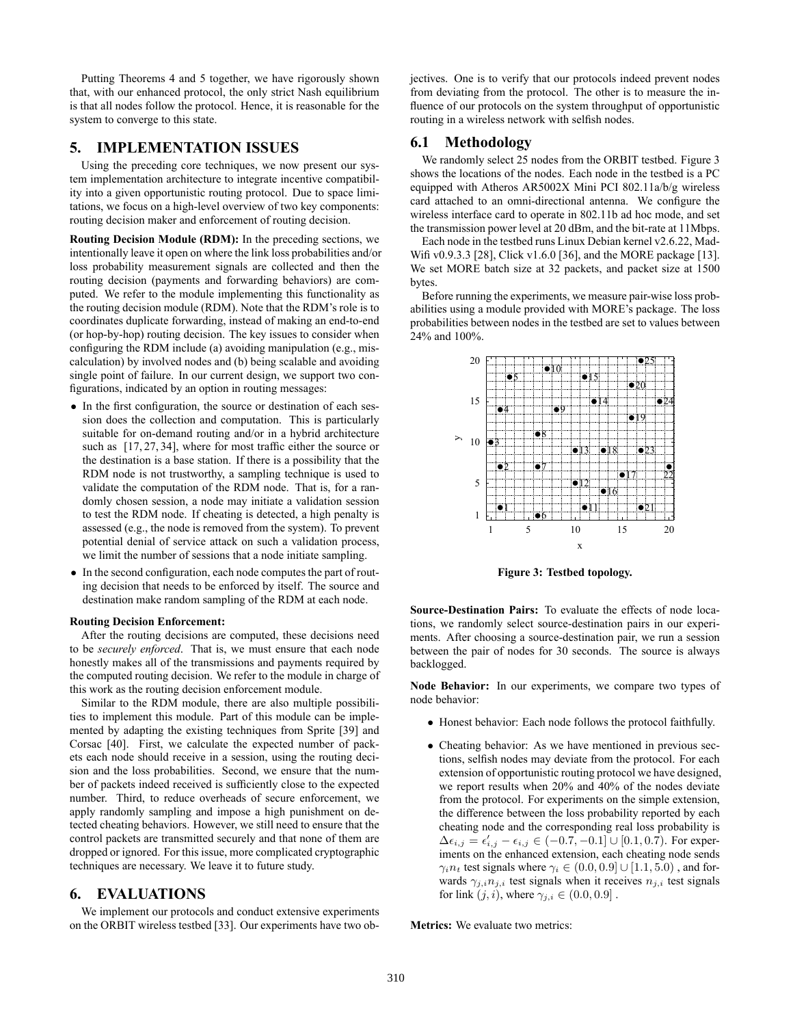Putting Theorems 4 and 5 together, we have rigorously shown that, with our enhanced protocol, the only strict Nash equilibrium is that all nodes follow the protocol. Hence, it is reasonable for the system to converge to this state.

# **5. IMPLEMENTATION ISSUES**

Using the preceding core techniques, we now present our system implementation architecture to integrate incentive compatibility into a given opportunistic routing protocol. Due to space limitations, we focus on a high-level overview of two key components: routing decision maker and enforcement of routing decision.

**Routing Decision Module (RDM):** In the preceding sections, we intentionally leave it open on where the link loss probabilities and/or loss probability measurement signals are collected and then the routing decision (payments and forwarding behaviors) are computed. We refer to the module implementing this functionality as the routing decision module (RDM). Note that the RDM's role is to coordinates duplicate forwarding, instead of making an end-to-end (or hop-by-hop) routing decision. The key issues to consider when configuring the RDM include (a) avoiding manipulation (e.g., miscalculation) by involved nodes and (b) being scalable and avoiding single point of failure. In our current design, we support two configurations, indicated by an option in routing messages:

- In the first configuration, the source or destination of each session does the collection and computation. This is particularly suitable for on-demand routing and/or in a hybrid architecture such as [17, 27, 34], where for most traffic either the source or the destination is a base station. If there is a possibility that the RDM node is not trustworthy, a sampling technique is used to validate the computation of the RDM node. That is, for a randomly chosen session, a node may initiate a validation session to test the RDM node. If cheating is detected, a high penalty is assessed (e.g., the node is removed from the system). To prevent potential denial of service attack on such a validation process, we limit the number of sessions that a node initiate sampling.
- In the second configuration, each node computes the part of routing decision that needs to be enforced by itself. The source and destination make random sampling of the RDM at each node.

#### **Routing Decision Enforcement:**

After the routing decisions are computed, these decisions need to be *securely enforced*. That is, we must ensure that each node honestly makes all of the transmissions and payments required by the computed routing decision. We refer to the module in charge of this work as the routing decision enforcement module.

Similar to the RDM module, there are also multiple possibilities to implement this module. Part of this module can be implemented by adapting the existing techniques from Sprite [39] and Corsac [40]. First, we calculate the expected number of packets each node should receive in a session, using the routing decision and the loss probabilities. Second, we ensure that the number of packets indeed received is sufficiently close to the expected number. Third, to reduce overheads of secure enforcement, we apply randomly sampling and impose a high punishment on detected cheating behaviors. However, we still need to ensure that the control packets are transmitted securely and that none of them are dropped or ignored. For this issue, more complicated cryptographic techniques are necessary. We leave it to future study.

# **6. EVALUATIONS**

We implement our protocols and conduct extensive experiments on the ORBIT wireless testbed [33]. Our experiments have two objectives. One is to verify that our protocols indeed prevent nodes from deviating from the protocol. The other is to measure the influence of our protocols on the system throughput of opportunistic routing in a wireless network with selfish nodes.

#### **6.1 Methodology**

We randomly select 25 nodes from the ORBIT testbed. Figure 3 shows the locations of the nodes. Each node in the testbed is a PC equipped with Atheros AR5002X Mini PCI 802.11a/b/g wireless card attached to an omni-directional antenna. We configure the wireless interface card to operate in 802.11b ad hoc mode, and set the transmission power level at 20 dBm, and the bit-rate at 11Mbps.

Each node in the testbed runs Linux Debian kernel v2.6.22, Mad-Wifi v0.9.3.3 [28], Click v1.6.0 [36], and the MORE package [13]. We set MORE batch size at 32 packets, and packet size at 1500 **bytes** 

Before running the experiments, we measure pair-wise loss probabilities using a module provided with MORE's package. The loss probabilities between nodes in the testbed are set to values between 24% and 100%.



**Figure 3: Testbed topology.**

**Source-Destination Pairs:** To evaluate the effects of node locations, we randomly select source-destination pairs in our experiments. After choosing a source-destination pair, we run a session between the pair of nodes for 30 seconds. The source is always backlogged.

**Node Behavior:** In our experiments, we compare two types of node behavior:

- Honest behavior: Each node follows the protocol faithfully.
- Cheating behavior: As we have mentioned in previous sections, selfish nodes may deviate from the protocol. For each extension of opportunistic routing protocol we have designed, we report results when 20% and 40% of the nodes deviate from the protocol. For experiments on the simple extension, the difference between the loss probability reported by each cheating node and the corresponding real loss probability is  $\Delta \epsilon_{i,j} = \epsilon'_{i,j} - \epsilon_{i,j} \in (-0.7, -0.1] \cup [0.1, 0.7)$ . For exper-<br>iments on the enhanced extension, each cheating node sends iments on the enhanced extension, each cheating node sends  $\gamma_i n_t$  test signals where  $\gamma_i \in (0.0, 0.9] \cup [1.1, 5.0)$ , and forwards  $\gamma_{j,i}n_{j,i}$  test signals when it receives  $n_{j,i}$  test signals for link  $(j, i)$ , where  $\gamma_{j,i} \in (0.0, 0.9]$ .

**Metrics:** We evaluate two metrics: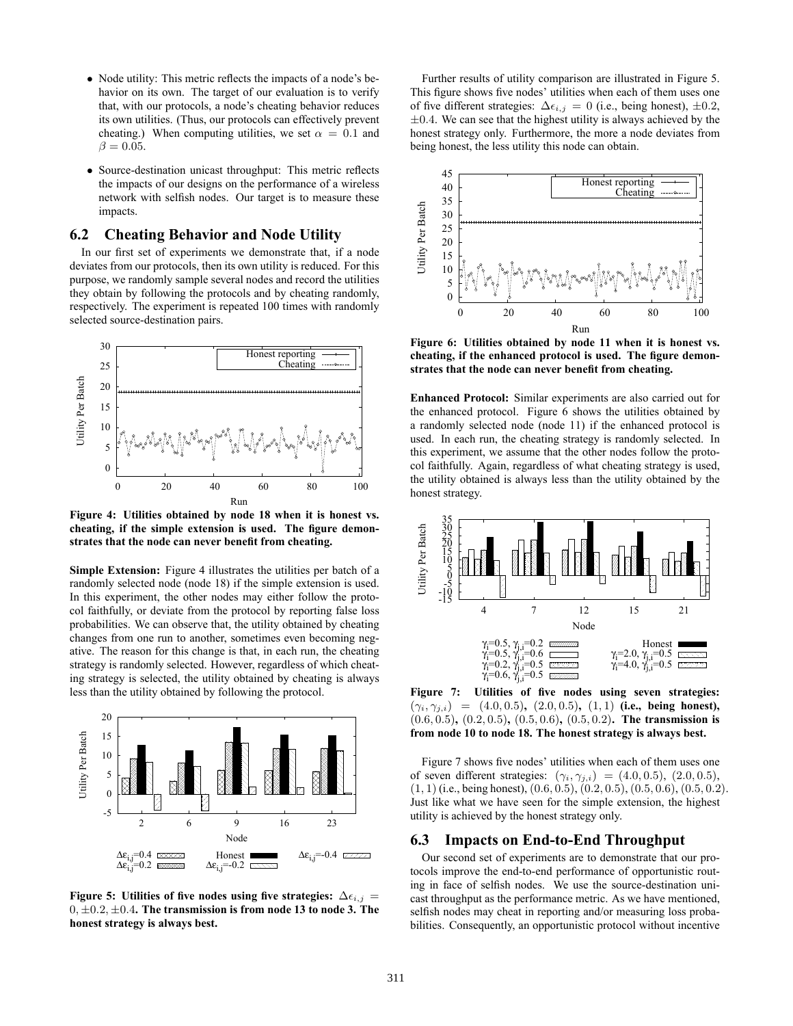- Node utility: This metric reflects the impacts of a node's behavior on its own. The target of our evaluation is to verify that, with our protocols, a node's cheating behavior reduces its own utilities. (Thus, our protocols can effectively prevent cheating.) When computing utilities, we set  $\alpha = 0.1$  and  $\beta = 0.05$ .
- Source-destination unicast throughput: This metric reflects the impacts of our designs on the performance of a wireless network with selfish nodes. Our target is to measure these impacts.

# **6.2 Cheating Behavior and Node Utility**

In our first set of experiments we demonstrate that, if a node deviates from our protocols, then its own utility is reduced. For this purpose, we randomly sample several nodes and record the utilities they obtain by following the protocols and by cheating randomly, respectively. The experiment is repeated 100 times with randomly selected source-destination pairs.



**Figure 4: Utilities obtained by node 18 when it is honest vs. cheating, if the simple extension is used. The figure demonstrates that the node can never benefit from cheating.**

**Simple Extension:** Figure 4 illustrates the utilities per batch of a randomly selected node (node 18) if the simple extension is used. In this experiment, the other nodes may either follow the protocol faithfully, or deviate from the protocol by reporting false loss probabilities. We can observe that, the utility obtained by cheating changes from one run to another, sometimes even becoming negative. The reason for this change is that, in each run, the cheating strategy is randomly selected. However, regardless of which cheating strategy is selected, the utility obtained by cheating is always less than the utility obtained by following the protocol.



**Figure 5: Utilities of five nodes using five strategies:**  $\Delta \epsilon_{i,j}$  = Figure 5: Utilities of live nodes using live strategies:  $\Delta \epsilon_{i,j} = 0, \pm 0.2, \pm 0.4$ . The transmission is from node 13 to node 3. The<br>honest strategy is always hest **honest strategy is always best.**

Further results of utility comparison are illustrated in Figure 5. This figure shows five nodes' utilities when each of them uses one of five different strategies:  $\Delta \epsilon_{i,j} = 0$  (i.e., being honest),  $\pm 0.2$ ,<br> $\pm 0.4$  We can see that the highest utility is always achieved by the  $\pm 0.4$ . We can see that the highest utility is always achieved by the honest strategy only. Furthermore, the more a node deviates from being honest, the less utility this node can obtain.



**Figure 6: Utilities obtained by node 11 when it is honest vs. cheating, if the enhanced protocol is used. The figure demonstrates that the node can never benefit from cheating.**

**Enhanced Protocol:** Similar experiments are also carried out for the enhanced protocol. Figure 6 shows the utilities obtained by a randomly selected node (node 11) if the enhanced protocol is used. In each run, the cheating strategy is randomly selected. In this experiment, we assume that the other nodes follow the protocol faithfully. Again, regardless of what cheating strategy is used, the utility obtained is always less than the utility obtained by the honest strategy.



**Figure 7: Utilities of five nodes using seven strategies:**  $(\gamma_i, \gamma_{j,i}) = (4.0, 0.5), (2.0, 0.5), (1, 1)$  (i.e., being honest), (0.6, 0.5)**,** (0.2, 0.5)**,** (0.5, 0.6)**,** (0.5, 0.2)**. The transmission is from node 10 to node 18. The honest strategy is always best.**

Figure 7 shows five nodes' utilities when each of them uses one of seven different strategies:  $(\gamma_i, \gamma_{j,i}) = (4.0, 0.5), (2.0, 0.5),$  $(1, 1)$  (i.e., being honest),  $(0.6, 0.5)$ ,  $(0.2, 0.5)$ ,  $(0.5, 0.6)$ ,  $(0.5, 0.2)$ . Just like what we have seen for the simple extension, the highest utility is achieved by the honest strategy only.

#### **6.3 Impacts on End-to-End Throughput**

Our second set of experiments are to demonstrate that our protocols improve the end-to-end performance of opportunistic routing in face of selfish nodes. We use the source-destination unicast throughput as the performance metric. As we have mentioned, selfish nodes may cheat in reporting and/or measuring loss probabilities. Consequently, an opportunistic protocol without incentive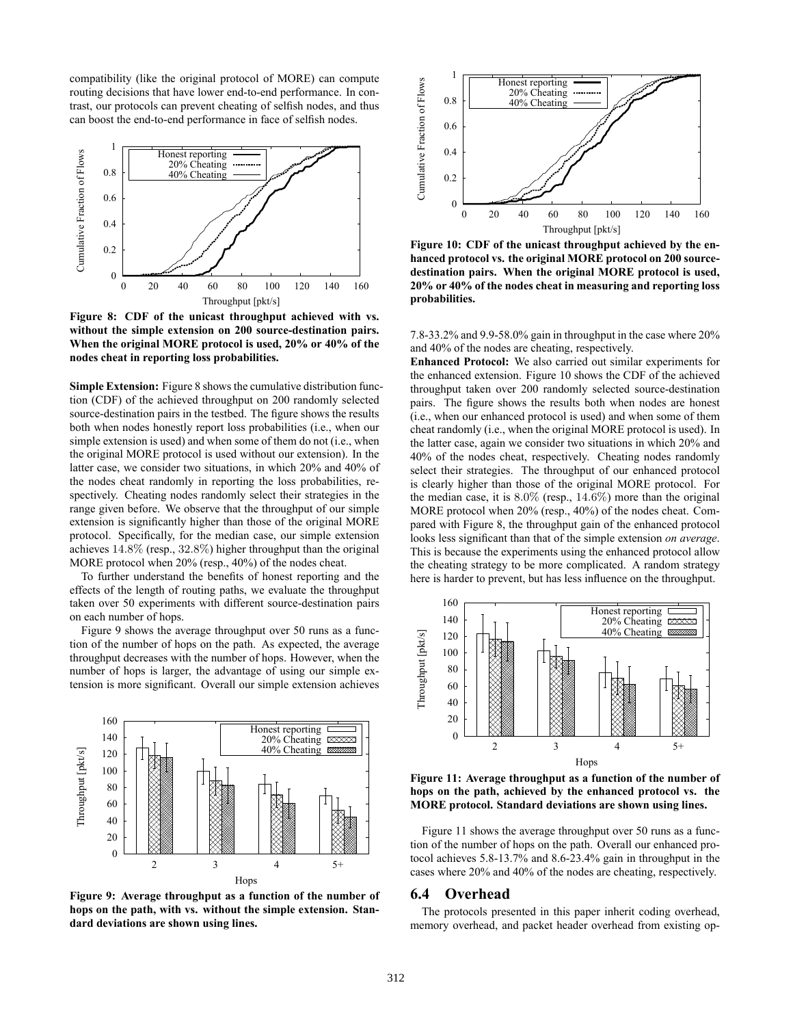compatibility (like the original protocol of MORE) can compute routing decisions that have lower end-to-end performance. In contrast, our protocols can prevent cheating of selfish nodes, and thus can boost the end-to-end performance in face of selfish nodes.



**Figure 8: CDF of the unicast throughput achieved with vs. without the simple extension on 200 source-destination pairs. When the original MORE protocol is used, 20% or 40% of the nodes cheat in reporting loss probabilities.**

**Simple Extension:** Figure 8 shows the cumulative distribution function (CDF) of the achieved throughput on 200 randomly selected source-destination pairs in the testbed. The figure shows the results both when nodes honestly report loss probabilities (i.e., when our simple extension is used) and when some of them do not (i.e., when the original MORE protocol is used without our extension). In the latter case, we consider two situations, in which 20% and 40% of the nodes cheat randomly in reporting the loss probabilities, respectively. Cheating nodes randomly select their strategies in the range given before. We observe that the throughput of our simple extension is significantly higher than those of the original MORE protocol. Specifically, for the median case, our simple extension achieves 14.8% (resp., 32.8%) higher throughput than the original MORE protocol when 20% (resp., 40%) of the nodes cheat.

To further understand the benefits of honest reporting and the effects of the length of routing paths, we evaluate the throughput taken over 50 experiments with different source-destination pairs on each number of hops.

Figure 9 shows the average throughput over 50 runs as a function of the number of hops on the path. As expected, the average throughput decreases with the number of hops. However, when the number of hops is larger, the advantage of using our simple extension is more significant. Overall our simple extension achieves



**Figure 9: Average throughput as a function of the number of hops on the path, with vs. without the simple extension. Standard deviations are shown using lines.**



**Figure 10: CDF of the unicast throughput achieved by the enhanced protocol vs. the original MORE protocol on 200 sourcedestination pairs. When the original MORE protocol is used, 20% or 40% of the nodes cheat in measuring and reporting loss probabilities.**

7.8-33.2% and 9.9-58.0% gain in throughput in the case where 20% and 40% of the nodes are cheating, respectively.

**Enhanced Protocol:** We also carried out similar experiments for the enhanced extension. Figure 10 shows the CDF of the achieved throughput taken over 200 randomly selected source-destination pairs. The figure shows the results both when nodes are honest (i.e., when our enhanced protocol is used) and when some of them cheat randomly (i.e., when the original MORE protocol is used). In the latter case, again we consider two situations in which 20% and 40% of the nodes cheat, respectively. Cheating nodes randomly select their strategies. The throughput of our enhanced protocol is clearly higher than those of the original MORE protocol. For the median case, it is 8.0% (resp., 14.6%) more than the original MORE protocol when 20% (resp., 40%) of the nodes cheat. Compared with Figure 8, the throughput gain of the enhanced protocol looks less significant than that of the simple extension *on average*. This is because the experiments using the enhanced protocol allow the cheating strategy to be more complicated. A random strategy here is harder to prevent, but has less influence on the throughput.



**Figure 11: Average throughput as a function of the number of hops on the path, achieved by the enhanced protocol vs. the MORE protocol. Standard deviations are shown using lines.**

Figure 11 shows the average throughput over 50 runs as a function of the number of hops on the path. Overall our enhanced protocol achieves 5.8-13.7% and 8.6-23.4% gain in throughput in the cases where 20% and 40% of the nodes are cheating, respectively.

#### **6.4 Overhead**

The protocols presented in this paper inherit coding overhead, memory overhead, and packet header overhead from existing op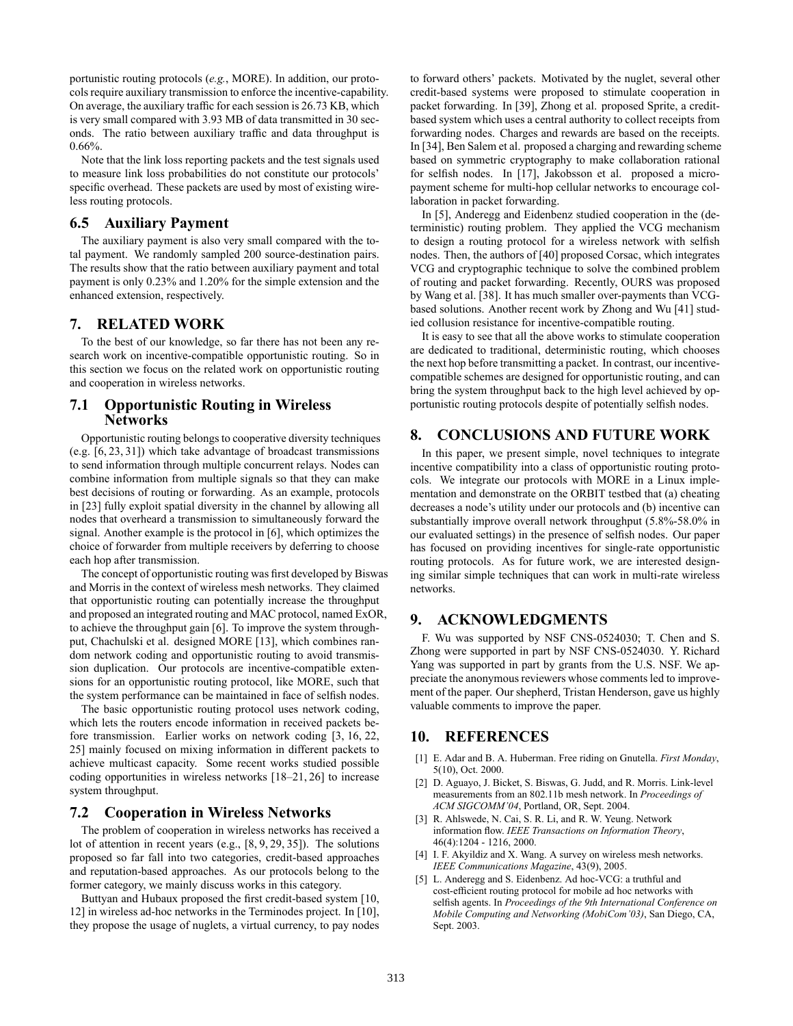portunistic routing protocols (*e.g.*, MORE). In addition, our protocols require auxiliary transmission to enforce the incentive-capability. On average, the auxiliary traffic for each session is 26.73 KB, which is very small compared with 3.93 MB of data transmitted in 30 seconds. The ratio between auxiliary traffic and data throughput is 0.66%.

Note that the link loss reporting packets and the test signals used to measure link loss probabilities do not constitute our protocols' specific overhead. These packets are used by most of existing wireless routing protocols.

# **6.5 Auxiliary Payment**

The auxiliary payment is also very small compared with the total payment. We randomly sampled 200 source-destination pairs. The results show that the ratio between auxiliary payment and total payment is only 0.23% and 1.20% for the simple extension and the enhanced extension, respectively.

## **7. RELATED WORK**

To the best of our knowledge, so far there has not been any research work on incentive-compatible opportunistic routing. So in this section we focus on the related work on opportunistic routing and cooperation in wireless networks.

# **7.1 Opportunistic Routing in Wireless Networks**

Opportunistic routing belongs to cooperative diversity techniques (e.g. [6, 23, 31]) which take advantage of broadcast transmissions to send information through multiple concurrent relays. Nodes can combine information from multiple signals so that they can make best decisions of routing or forwarding. As an example, protocols in [23] fully exploit spatial diversity in the channel by allowing all nodes that overheard a transmission to simultaneously forward the signal. Another example is the protocol in [6], which optimizes the choice of forwarder from multiple receivers by deferring to choose each hop after transmission.

The concept of opportunistic routing was first developed by Biswas and Morris in the context of wireless mesh networks. They claimed that opportunistic routing can potentially increase the throughput and proposed an integrated routing and MAC protocol, named ExOR, to achieve the throughput gain [6]. To improve the system throughput, Chachulski et al. designed MORE [13], which combines random network coding and opportunistic routing to avoid transmission duplication. Our protocols are incentive-compatible extensions for an opportunistic routing protocol, like MORE, such that the system performance can be maintained in face of selfish nodes.

The basic opportunistic routing protocol uses network coding, which lets the routers encode information in received packets before transmission. Earlier works on network coding [3, 16, 22, 25] mainly focused on mixing information in different packets to achieve multicast capacity. Some recent works studied possible coding opportunities in wireless networks [18–21, 26] to increase system throughput.

#### **7.2 Cooperation in Wireless Networks**

The problem of cooperation in wireless networks has received a lot of attention in recent years (e.g., [8, 9, 29, 35]). The solutions proposed so far fall into two categories, credit-based approaches and reputation-based approaches. As our protocols belong to the former category, we mainly discuss works in this category.

Buttyan and Hubaux proposed the first credit-based system [10, 12] in wireless ad-hoc networks in the Terminodes project. In [10], they propose the usage of nuglets, a virtual currency, to pay nodes to forward others' packets. Motivated by the nuglet, several other credit-based systems were proposed to stimulate cooperation in packet forwarding. In [39], Zhong et al. proposed Sprite, a creditbased system which uses a central authority to collect receipts from forwarding nodes. Charges and rewards are based on the receipts. In [34], Ben Salem et al. proposed a charging and rewarding scheme based on symmetric cryptography to make collaboration rational for selfish nodes. In [17], Jakobsson et al. proposed a micropayment scheme for multi-hop cellular networks to encourage collaboration in packet forwarding.

In [5], Anderegg and Eidenbenz studied cooperation in the (deterministic) routing problem. They applied the VCG mechanism to design a routing protocol for a wireless network with selfish nodes. Then, the authors of [40] proposed Corsac, which integrates VCG and cryptographic technique to solve the combined problem of routing and packet forwarding. Recently, OURS was proposed by Wang et al. [38]. It has much smaller over-payments than VCGbased solutions. Another recent work by Zhong and Wu [41] studied collusion resistance for incentive-compatible routing.

It is easy to see that all the above works to stimulate cooperation are dedicated to traditional, deterministic routing, which chooses the next hop before transmitting a packet. In contrast, our incentivecompatible schemes are designed for opportunistic routing, and can bring the system throughput back to the high level achieved by opportunistic routing protocols despite of potentially selfish nodes.

## **8. CONCLUSIONS AND FUTURE WORK**

In this paper, we present simple, novel techniques to integrate incentive compatibility into a class of opportunistic routing protocols. We integrate our protocols with MORE in a Linux implementation and demonstrate on the ORBIT testbed that (a) cheating decreases a node's utility under our protocols and (b) incentive can substantially improve overall network throughput (5.8%-58.0% in our evaluated settings) in the presence of selfish nodes. Our paper has focused on providing incentives for single-rate opportunistic routing protocols. As for future work, we are interested designing similar simple techniques that can work in multi-rate wireless networks.

# **9. ACKNOWLEDGMENTS**

F. Wu was supported by NSF CNS-0524030; T. Chen and S. Zhong were supported in part by NSF CNS-0524030. Y. Richard Yang was supported in part by grants from the U.S. NSF. We appreciate the anonymous reviewers whose comments led to improvement of the paper. Our shepherd, Tristan Henderson, gave us highly valuable comments to improve the paper.

# **10. REFERENCES**

- [1] E. Adar and B. A. Huberman. Free riding on Gnutella. *First Monday*, 5(10), Oct. 2000.
- [2] D. Aguayo, J. Bicket, S. Biswas, G. Judd, and R. Morris. Link-level measurements from an 802.11b mesh network. In *Proceedings of ACM SIGCOMM'04*, Portland, OR, Sept. 2004.
- [3] R. Ahlswede, N. Cai, S. R. Li, and R. W. Yeung. Network information flow. *IEEE Transactions on Information Theory*, 46(4):1204 - 1216, 2000.
- [4] I. F. Akyildiz and X. Wang. A survey on wireless mesh networks. *IEEE Communications Magazine*, 43(9), 2005.
- [5] L. Anderegg and S. Eidenbenz. Ad hoc-VCG: a truthful and cost-efficient routing protocol for mobile ad hoc networks with selfish agents. In *Proceedings of the 9th International Conference on Mobile Computing and Networking (MobiCom'03)*, San Diego, CA, Sept. 2003.